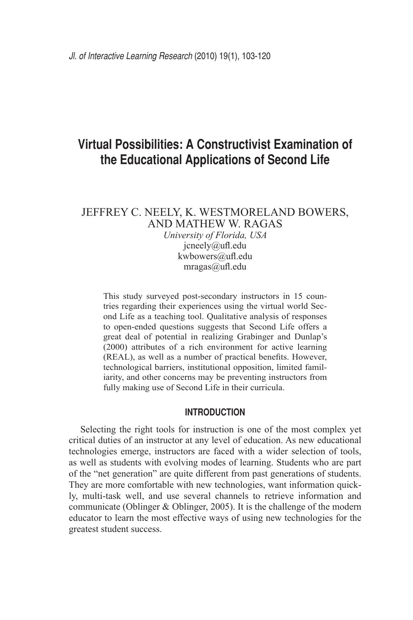# **Virtual Possibilities: A Constructivist Examination of the Educational Applications of Second Life**

# Jeffrey C. Neely, K. Westmoreland Bowers, and Mathew W. Ragas

*University of Florida, USA* jcneely@ufl.edu kwbowers@ufl.edu mragas@ufl.edu

This study surveyed post-secondary instructors in 15 countries regarding their experiences using the virtual world Second Life as a teaching tool. Qualitative analysis of responses to open-ended questions suggests that Second Life offers a great deal of potential in realizing Grabinger and Dunlap's (2000) attributes of a rich environment for active learning (REAL), as well as a number of practical benefits. However, technological barriers, institutional opposition, limited familiarity, and other concerns may be preventing instructors from fully making use of Second Life in their curricula.

# **Introduction**

Selecting the right tools for instruction is one of the most complex yet critical duties of an instructor at any level of education. As new educational technologies emerge, instructors are faced with a wider selection of tools, as well as students with evolving modes of learning. Students who are part of the "net generation" are quite different from past generations of students. They are more comfortable with new technologies, want information quickly, multi-task well, and use several channels to retrieve information and communicate (Oblinger & Oblinger, 2005). It is the challenge of the modern educator to learn the most effective ways of using new technologies for the greatest student success.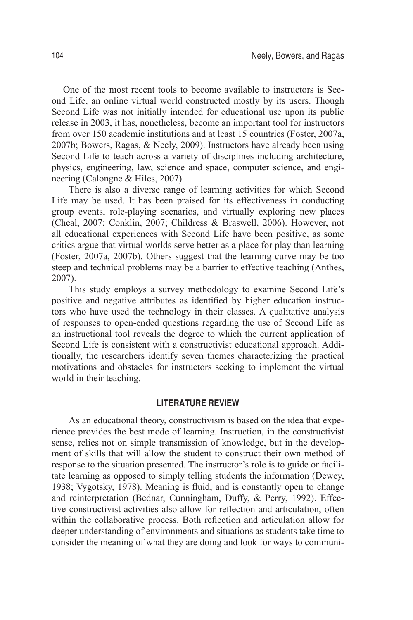One of the most recent tools to become available to instructors is Second Life, an online virtual world constructed mostly by its users. Though Second Life was not initially intended for educational use upon its public release in 2003, it has, nonetheless, become an important tool for instructors from over 150 academic institutions and at least 15 countries (Foster, 2007a, 2007b; Bowers, Ragas, & Neely, 2009). Instructors have already been using Second Life to teach across a variety of disciplines including architecture, physics, engineering, law, science and space, computer science, and engineering (Calongne & Hiles, 2007).

There is also a diverse range of learning activities for which Second Life may be used. It has been praised for its effectiveness in conducting group events, role-playing scenarios, and virtually exploring new places (Cheal, 2007; Conklin, 2007; Childress & Braswell, 2006). However, not all educational experiences with Second Life have been positive, as some critics argue that virtual worlds serve better as a place for play than learning (Foster, 2007a, 2007b). Others suggest that the learning curve may be too steep and technical problems may be a barrier to effective teaching (Anthes, 2007).

This study employs a survey methodology to examine Second Life's positive and negative attributes as identified by higher education instructors who have used the technology in their classes. A qualitative analysis of responses to open-ended questions regarding the use of Second Life as an instructional tool reveals the degree to which the current application of Second Life is consistent with a constructivist educational approach. Additionally, the researchers identify seven themes characterizing the practical motivations and obstacles for instructors seeking to implement the virtual world in their teaching.

## **Literature Review**

As an educational theory, constructivism is based on the idea that experience provides the best mode of learning. Instruction, in the constructivist sense, relies not on simple transmission of knowledge, but in the development of skills that will allow the student to construct their own method of response to the situation presented. The instructor's role is to guide or facilitate learning as opposed to simply telling students the information (Dewey, 1938; Vygotsky, 1978). Meaning is fluid, and is constantly open to change and reinterpretation (Bednar, Cunningham, Duffy, & Perry, 1992). Effective constructivist activities also allow for reflection and articulation, often within the collaborative process. Both reflection and articulation allow for deeper understanding of environments and situations as students take time to consider the meaning of what they are doing and look for ways to communi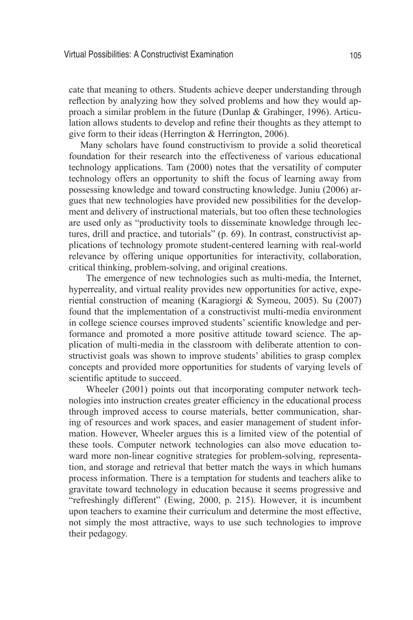cate that meaning to others. Students achieve deeper understanding through reflection by analyzing how they solved problems and how they would approach a similar problem in the future (Dunlap & Grabinger, 1996). Articulation allows students to develop and refine their thoughts as they attempt to give form to their ideas (Herrington & Herrington, 2006).

Many scholars have found constructivism to provide a solid theoretical foundation for their research into the effectiveness of various educational technology applications. Tam (2000) notes that the versatility of computer technology offers an opportunity to shift the focus of learning away from possessing knowledge and toward constructing knowledge. Juniu (2006) argues that new technologies have provided new possibilities for the development and delivery of instructional materials, but too often these technologies are used only as "productivity tools to disseminate knowledge through lectures, drill and practice, and tutorials" (p. 69). In contrast, constructivist applications of technology promote student-centered learning with real-world relevance by offering unique opportunities for interactivity, collaboration, critical thinking, problem-solving, and original creations.

The emergence of new technologies such as multi-media, the Internet, hyperreality, and virtual reality provides new opportunities for active, experiential construction of meaning (Karagiorgi & Symeou, 2005). Su (2007) found that the implementation of a constructivist multi-media environment in college science courses improved students' scientific knowledge and performance and promoted a more positive attitude toward science. The application of multi-media in the classroom with deliberate attention to constructivist goals was shown to improve students' abilities to grasp complex concepts and provided more opportunities for students of varying levels of scientific aptitude to succeed.

Wheeler (2001) points out that incorporating computer network technologies into instruction creates greater efficiency in the educational process through improved access to course materials, better communication, sharing of resources and work spaces, and easier management of student information. However, Wheeler argues this is a limited view of the potential of these tools. Computer network technologies can also move education toward more non-linear cognitive strategies for problem-solving, representation, and storage and retrieval that better match the ways in which humans process information. There is a temptation for students and teachers alike to gravitate toward technology in education because it seems progressive and "refreshingly different" (Ewing, 2000, p. 215). However, it is incumbent upon teachers to examine their curriculum and determine the most effective, not simply the most attractive, ways to use such technologies to improve their pedagogy.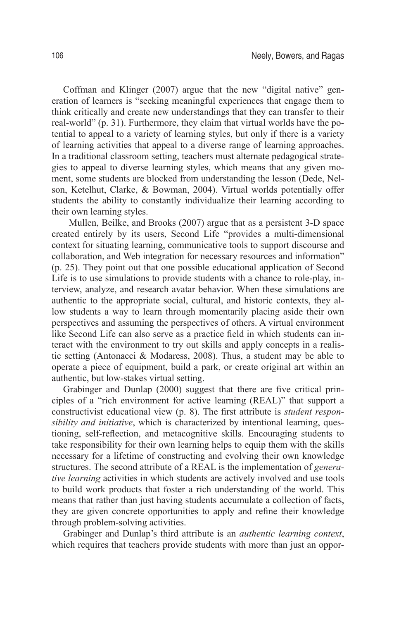Coffman and Klinger (2007) argue that the new "digital native" generation of learners is "seeking meaningful experiences that engage them to think critically and create new understandings that they can transfer to their real-world" (p. 31). Furthermore, they claim that virtual worlds have the potential to appeal to a variety of learning styles, but only if there is a variety of learning activities that appeal to a diverse range of learning approaches. In a traditional classroom setting, teachers must alternate pedagogical strategies to appeal to diverse learning styles, which means that any given moment, some students are blocked from understanding the lesson (Dede, Nelson, Ketelhut, Clarke, & Bowman, 2004). Virtual worlds potentially offer students the ability to constantly individualize their learning according to their own learning styles.

Mullen, Beilke, and Brooks (2007) argue that as a persistent 3-D space created entirely by its users, Second Life "provides a multi-dimensional context for situating learning, communicative tools to support discourse and collaboration, and Web integration for necessary resources and information" (p. 25). They point out that one possible educational application of Second Life is to use simulations to provide students with a chance to role-play, interview, analyze, and research avatar behavior. When these simulations are authentic to the appropriate social, cultural, and historic contexts, they allow students a way to learn through momentarily placing aside their own perspectives and assuming the perspectives of others. A virtual environment like Second Life can also serve as a practice field in which students can interact with the environment to try out skills and apply concepts in a realistic setting (Antonacci & Modaress, 2008). Thus, a student may be able to operate a piece of equipment, build a park, or create original art within an authentic, but low-stakes virtual setting.

Grabinger and Dunlap (2000) suggest that there are five critical principles of a "rich environment for active learning (REAL)" that support a constructivist educational view (p. 8). The first attribute is *student responsibility and initiative*, which is characterized by intentional learning, questioning, self-reflection, and metacognitive skills. Encouraging students to take responsibility for their own learning helps to equip them with the skills necessary for a lifetime of constructing and evolving their own knowledge structures. The second attribute of a REAL is the implementation of *generative learning* activities in which students are actively involved and use tools to build work products that foster a rich understanding of the world. This means that rather than just having students accumulate a collection of facts, they are given concrete opportunities to apply and refine their knowledge through problem-solving activities.

Grabinger and Dunlap's third attribute is an *authentic learning context*, which requires that teachers provide students with more than just an oppor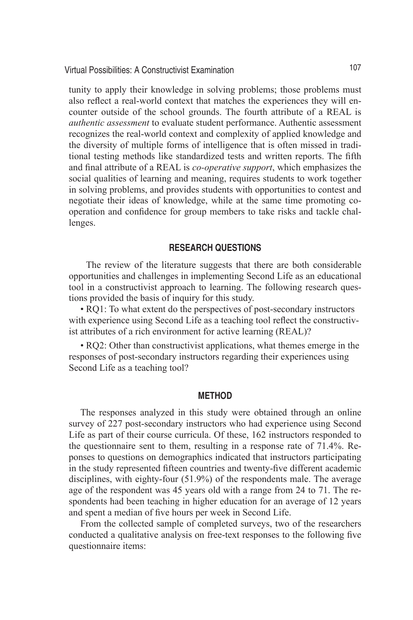Virtual Possibilities: A Constructivist Examination 107

tunity to apply their knowledge in solving problems; those problems must also reflect a real-world context that matches the experiences they will encounter outside of the school grounds. The fourth attribute of a REAL is *authentic assessment* to evaluate student performance. Authentic assessment recognizes the real-world context and complexity of applied knowledge and the diversity of multiple forms of intelligence that is often missed in traditional testing methods like standardized tests and written reports. The fifth and final attribute of a REAL is *co-operative support*, which emphasizes the social qualities of learning and meaning, requires students to work together in solving problems, and provides students with opportunities to contest and negotiate their ideas of knowledge, while at the same time promoting cooperation and confidence for group members to take risks and tackle challenges.

# **Research Questions**

The review of the literature suggests that there are both considerable opportunities and challenges in implementing Second Life as an educational tool in a constructivist approach to learning. The following research questions provided the basis of inquiry for this study.

• RQ1: To what extent do the perspectives of post-secondary instructors with experience using Second Life as a teaching tool reflect the constructivist attributes of a rich environment for active learning (REAL)?

• RQ2: Other than constructivist applications, what themes emerge in the responses of post-secondary instructors regarding their experiences using Second Life as a teaching tool?

#### **Method**

The responses analyzed in this study were obtained through an online survey of 227 post-secondary instructors who had experience using Second Life as part of their course curricula. Of these, 162 instructors responded to the questionnaire sent to them, resulting in a response rate of 71.4%. Reponses to questions on demographics indicated that instructors participating in the study represented fifteen countries and twenty-five different academic disciplines, with eighty-four (51.9%) of the respondents male. The average age of the respondent was 45 years old with a range from 24 to 71. The respondents had been teaching in higher education for an average of 12 years and spent a median of five hours per week in Second Life.

From the collected sample of completed surveys, two of the researchers conducted a qualitative analysis on free-text responses to the following five questionnaire items: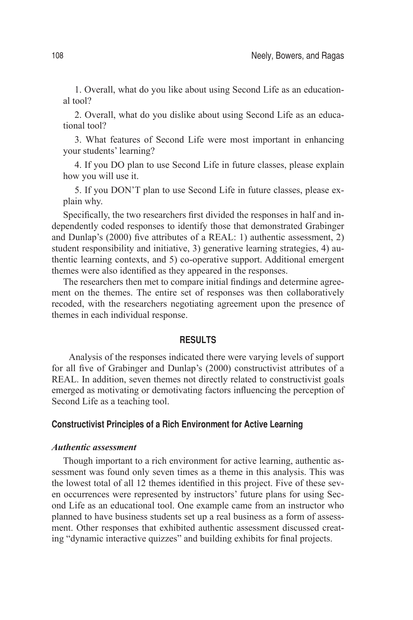1. Overall, what do you like about using Second Life as an educational tool?

2. Overall, what do you dislike about using Second Life as an educational tool?

3. What features of Second Life were most important in enhancing your students' learning?

4. If you DO plan to use Second Life in future classes, please explain how you will use it.

5. If you DON'T plan to use Second Life in future classes, please explain why.

Specifically, the two researchers first divided the responses in half and independently coded responses to identify those that demonstrated Grabinger and Dunlap's (2000) five attributes of a REAL: 1) authentic assessment, 2) student responsibility and initiative, 3) generative learning strategies, 4) authentic learning contexts, and 5) co-operative support. Additional emergent themes were also identified as they appeared in the responses.

The researchers then met to compare initial findings and determine agreement on the themes. The entire set of responses was then collaboratively recoded, with the researchers negotiating agreement upon the presence of themes in each individual response.

#### **Results**

Analysis of the responses indicated there were varying levels of support for all five of Grabinger and Dunlap's (2000) constructivist attributes of a REAL. In addition, seven themes not directly related to constructivist goals emerged as motivating or demotivating factors influencing the perception of Second Life as a teaching tool.

## **Constructivist Principles of a Rich Environment for Active Learning**

## *Authentic assessment*

Though important to a rich environment for active learning, authentic assessment was found only seven times as a theme in this analysis. This was the lowest total of all 12 themes identified in this project. Five of these seven occurrences were represented by instructors' future plans for using Second Life as an educational tool. One example came from an instructor who planned to have business students set up a real business as a form of assessment. Other responses that exhibited authentic assessment discussed creating "dynamic interactive quizzes" and building exhibits for final projects.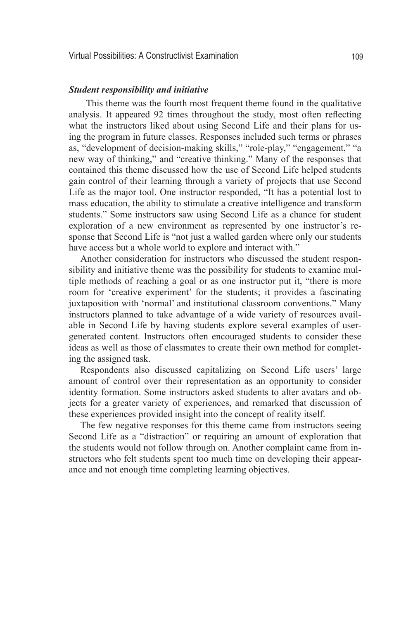#### *Student responsibility and initiative*

This theme was the fourth most frequent theme found in the qualitative analysis. It appeared 92 times throughout the study, most often reflecting what the instructors liked about using Second Life and their plans for using the program in future classes. Responses included such terms or phrases as, "development of decision-making skills," "role-play," "engagement," "a new way of thinking," and "creative thinking." Many of the responses that contained this theme discussed how the use of Second Life helped students gain control of their learning through a variety of projects that use Second Life as the major tool. One instructor responded, "It has a potential lost to mass education, the ability to stimulate a creative intelligence and transform students." Some instructors saw using Second Life as a chance for student exploration of a new environment as represented by one instructor's response that Second Life is "not just a walled garden where only our students have access but a whole world to explore and interact with."

Another consideration for instructors who discussed the student responsibility and initiative theme was the possibility for students to examine multiple methods of reaching a goal or as one instructor put it, "there is more room for 'creative experiment' for the students; it provides a fascinating juxtaposition with 'normal' and institutional classroom conventions." Many instructors planned to take advantage of a wide variety of resources available in Second Life by having students explore several examples of usergenerated content. Instructors often encouraged students to consider these ideas as well as those of classmates to create their own method for completing the assigned task.

Respondents also discussed capitalizing on Second Life users' large amount of control over their representation as an opportunity to consider identity formation. Some instructors asked students to alter avatars and objects for a greater variety of experiences, and remarked that discussion of these experiences provided insight into the concept of reality itself.

The few negative responses for this theme came from instructors seeing Second Life as a "distraction" or requiring an amount of exploration that the students would not follow through on. Another complaint came from instructors who felt students spent too much time on developing their appearance and not enough time completing learning objectives.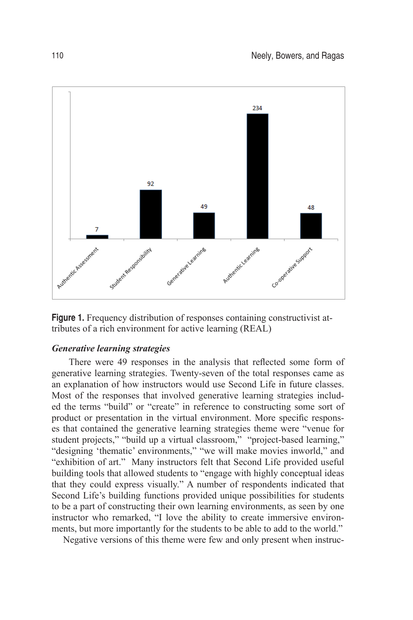

**Figure 1.** Frequency distribution of responses containing constructivist attributes of a rich environment for active learning (REAL)

## *Generative learning strategies*

There were 49 responses in the analysis that reflected some form of generative learning strategies. Twenty-seven of the total responses came as an explanation of how instructors would use Second Life in future classes. Most of the responses that involved generative learning strategies included the terms "build" or "create" in reference to constructing some sort of product or presentation in the virtual environment. More specific responses that contained the generative learning strategies theme were "venue for student projects," "build up a virtual classroom," "project-based learning," "designing 'thematic' environments," "we will make movies inworld," and "exhibition of art." Many instructors felt that Second Life provided useful building tools that allowed students to "engage with highly conceptual ideas that they could express visually." A number of respondents indicated that Second Life's building functions provided unique possibilities for students to be a part of constructing their own learning environments, as seen by one instructor who remarked, "I love the ability to create immersive environments, but more importantly for the students to be able to add to the world."

Negative versions of this theme were few and only present when instruc-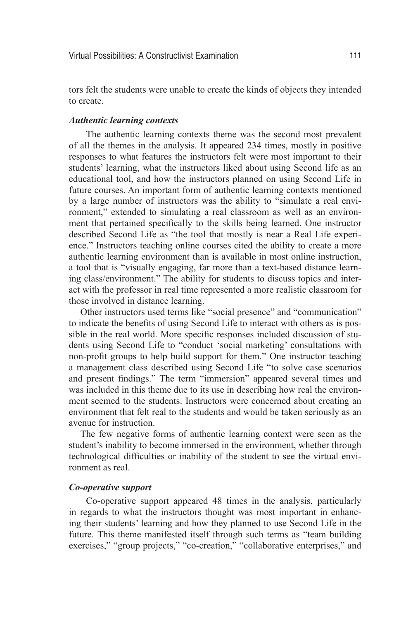tors felt the students were unable to create the kinds of objects they intended to create.

## *Authentic learning contexts*

The authentic learning contexts theme was the second most prevalent of all the themes in the analysis. It appeared 234 times, mostly in positive responses to what features the instructors felt were most important to their students' learning, what the instructors liked about using Second life as an educational tool, and how the instructors planned on using Second Life in future courses. An important form of authentic learning contexts mentioned by a large number of instructors was the ability to "simulate a real environment," extended to simulating a real classroom as well as an environment that pertained specifically to the skills being learned. One instructor described Second Life as "the tool that mostly is near a Real Life experience." Instructors teaching online courses cited the ability to create a more authentic learning environment than is available in most online instruction, a tool that is "visually engaging, far more than a text-based distance learning class/environment." The ability for students to discuss topics and interact with the professor in real time represented a more realistic classroom for those involved in distance learning.

Other instructors used terms like "social presence" and "communication" to indicate the benefits of using Second Life to interact with others as is possible in the real world. More specific responses included discussion of students using Second Life to "conduct 'social marketing' consultations with non-profit groups to help build support for them." One instructor teaching a management class described using Second Life "to solve case scenarios and present findings." The term "immersion" appeared several times and was included in this theme due to its use in describing how real the environment seemed to the students. Instructors were concerned about creating an environment that felt real to the students and would be taken seriously as an avenue for instruction.

The few negative forms of authentic learning context were seen as the student's inability to become immersed in the environment, whether through technological difficulties or inability of the student to see the virtual environment as real.

#### *Co-operative support*

Co-operative support appeared 48 times in the analysis, particularly in regards to what the instructors thought was most important in enhancing their students' learning and how they planned to use Second Life in the future. This theme manifested itself through such terms as "team building exercises," "group projects," "co-creation," "collaborative enterprises," and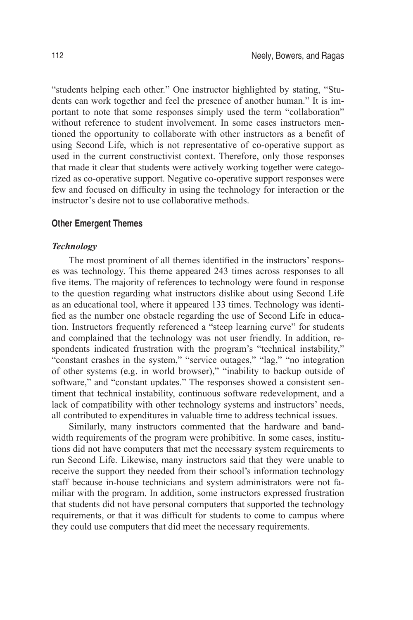"students helping each other." One instructor highlighted by stating, "Students can work together and feel the presence of another human." It is important to note that some responses simply used the term "collaboration" without reference to student involvement. In some cases instructors mentioned the opportunity to collaborate with other instructors as a benefit of using Second Life, which is not representative of co-operative support as used in the current constructivist context. Therefore, only those responses that made it clear that students were actively working together were categorized as co-operative support. Negative co-operative support responses were few and focused on difficulty in using the technology for interaction or the instructor's desire not to use collaborative methods.

#### **Other Emergent Themes**

#### *Technology*

The most prominent of all themes identified in the instructors' responses was technology. This theme appeared 243 times across responses to all five items. The majority of references to technology were found in response to the question regarding what instructors dislike about using Second Life as an educational tool, where it appeared 133 times. Technology was identified as the number one obstacle regarding the use of Second Life in education. Instructors frequently referenced a "steep learning curve" for students and complained that the technology was not user friendly. In addition, respondents indicated frustration with the program's "technical instability," "constant crashes in the system," "service outages," "lag," "no integration of other systems (e.g. in world browser)," "inability to backup outside of software," and "constant updates." The responses showed a consistent sentiment that technical instability, continuous software redevelopment, and a lack of compatibility with other technology systems and instructors' needs, all contributed to expenditures in valuable time to address technical issues.

Similarly, many instructors commented that the hardware and bandwidth requirements of the program were prohibitive. In some cases, institutions did not have computers that met the necessary system requirements to run Second Life. Likewise, many instructors said that they were unable to receive the support they needed from their school's information technology staff because in-house technicians and system administrators were not familiar with the program. In addition, some instructors expressed frustration that students did not have personal computers that supported the technology requirements, or that it was difficult for students to come to campus where they could use computers that did meet the necessary requirements.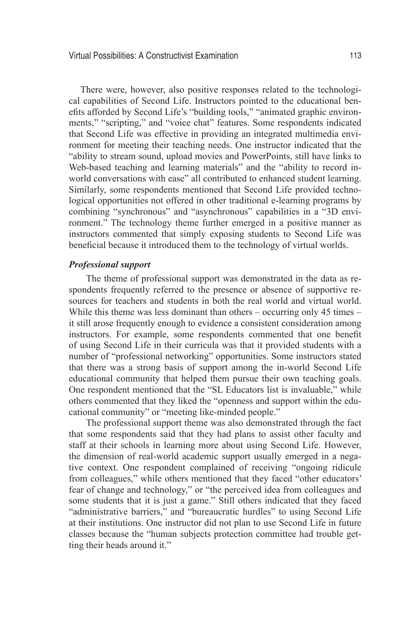There were, however, also positive responses related to the technological capabilities of Second Life. Instructors pointed to the educational benefits afforded by Second Life's "building tools," "animated graphic environments," "scripting," and "voice chat" features. Some respondents indicated that Second Life was effective in providing an integrated multimedia environment for meeting their teaching needs. One instructor indicated that the "ability to stream sound, upload movies and PowerPoints, still have links to Web-based teaching and learning materials" and the "ability to record inworld conversations with ease" all contributed to enhanced student learning. Similarly, some respondents mentioned that Second Life provided technological opportunities not offered in other traditional e-learning programs by combining "synchronous" and "asynchronous" capabilities in a "3D environment." The technology theme further emerged in a positive manner as instructors commented that simply exposing students to Second Life was beneficial because it introduced them to the technology of virtual worlds.

#### *Professional support*

The theme of professional support was demonstrated in the data as respondents frequently referred to the presence or absence of supportive resources for teachers and students in both the real world and virtual world. While this theme was less dominant than others – occurring only 45 times – it still arose frequently enough to evidence a consistent consideration among instructors. For example, some respondents commented that one benefit of using Second Life in their curricula was that it provided students with a number of "professional networking" opportunities. Some instructors stated that there was a strong basis of support among the in-world Second Life educational community that helped them pursue their own teaching goals. One respondent mentioned that the "SL Educators list is invaluable," while others commented that they liked the "openness and support within the educational community" or "meeting like-minded people."

The professional support theme was also demonstrated through the fact that some respondents said that they had plans to assist other faculty and staff at their schools in learning more about using Second Life. However, the dimension of real-world academic support usually emerged in a negative context. One respondent complained of receiving "ongoing ridicule from colleagues," while others mentioned that they faced "other educators' fear of change and technology," or "the perceived idea from colleagues and some students that it is just a game." Still others indicated that they faced "administrative barriers," and "bureaucratic hurdles" to using Second Life at their institutions. One instructor did not plan to use Second Life in future classes because the "human subjects protection committee had trouble getting their heads around it."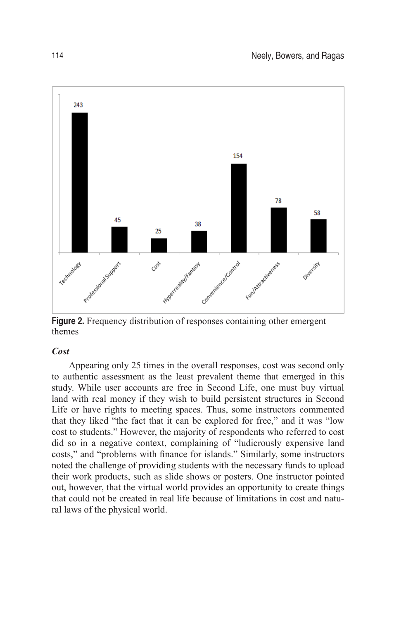

**Figure 2.** Frequency distribution of responses containing other emergent themes

## *Cost*

Appearing only 25 times in the overall responses, cost was second only to authentic assessment as the least prevalent theme that emerged in this study. While user accounts are free in Second Life, one must buy virtual land with real money if they wish to build persistent structures in Second Life or have rights to meeting spaces. Thus, some instructors commented that they liked "the fact that it can be explored for free," and it was "low cost to students." However, the majority of respondents who referred to cost did so in a negative context, complaining of "ludicrously expensive land costs," and "problems with finance for islands." Similarly, some instructors noted the challenge of providing students with the necessary funds to upload their work products, such as slide shows or posters. One instructor pointed out, however, that the virtual world provides an opportunity to create things that could not be created in real life because of limitations in cost and natural laws of the physical world.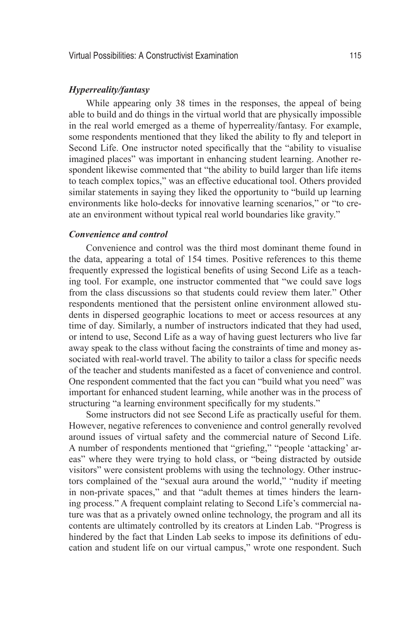#### *Hyperreality/fantasy*

While appearing only 38 times in the responses, the appeal of being able to build and do things in the virtual world that are physically impossible in the real world emerged as a theme of hyperreality/fantasy. For example, some respondents mentioned that they liked the ability to fly and teleport in Second Life. One instructor noted specifically that the "ability to visualise imagined places" was important in enhancing student learning. Another respondent likewise commented that "the ability to build larger than life items to teach complex topics," was an effective educational tool. Others provided similar statements in saying they liked the opportunity to "build up learning environments like holo-decks for innovative learning scenarios," or "to create an environment without typical real world boundaries like gravity."

## *Convenience and control*

Convenience and control was the third most dominant theme found in the data, appearing a total of 154 times. Positive references to this theme frequently expressed the logistical benefits of using Second Life as a teaching tool. For example, one instructor commented that "we could save logs from the class discussions so that students could review them later." Other respondents mentioned that the persistent online environment allowed students in dispersed geographic locations to meet or access resources at any time of day. Similarly, a number of instructors indicated that they had used, or intend to use, Second Life as a way of having guest lecturers who live far away speak to the class without facing the constraints of time and money associated with real-world travel. The ability to tailor a class for specific needs of the teacher and students manifested as a facet of convenience and control. One respondent commented that the fact you can "build what you need" was important for enhanced student learning, while another was in the process of structuring "a learning environment specifically for my students."

Some instructors did not see Second Life as practically useful for them. However, negative references to convenience and control generally revolved around issues of virtual safety and the commercial nature of Second Life. A number of respondents mentioned that "griefing," "people 'attacking' areas" where they were trying to hold class, or "being distracted by outside visitors" were consistent problems with using the technology. Other instructors complained of the "sexual aura around the world," "nudity if meeting in non-private spaces," and that "adult themes at times hinders the learning process." A frequent complaint relating to Second Life's commercial nature was that as a privately owned online technology, the program and all its contents are ultimately controlled by its creators at Linden Lab. "Progress is hindered by the fact that Linden Lab seeks to impose its definitions of education and student life on our virtual campus," wrote one respondent. Such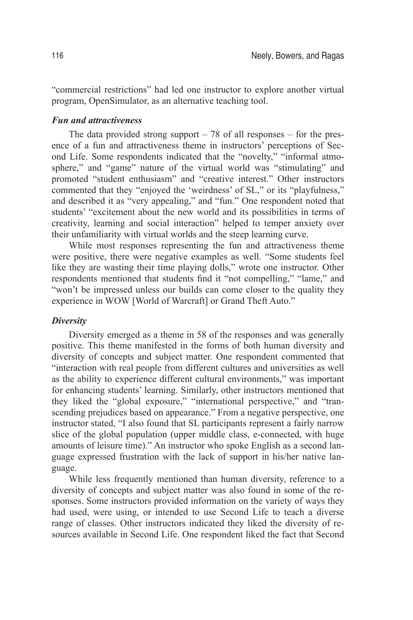"commercial restrictions" had led one instructor to explore another virtual program, OpenSimulator, as an alternative teaching tool.

## *Fun and attractiveness*

The data provided strong support  $-78$  of all responses  $-$  for the presence of a fun and attractiveness theme in instructors' perceptions of Second Life. Some respondents indicated that the "novelty," "informal atmosphere," and "game" nature of the virtual world was "stimulating" and promoted "student enthusiasm" and "creative interest." Other instructors commented that they "enjoyed the 'weirdness' of SL," or its "playfulness," and described it as "very appealing," and "fun." One respondent noted that students' "excitement about the new world and its possibilities in terms of creativity, learning and social interaction" helped to temper anxiety over their unfamiliarity with virtual worlds and the steep learning curve.

While most responses representing the fun and attractiveness theme were positive, there were negative examples as well. "Some students feel like they are wasting their time playing dolls," wrote one instructor. Other respondents mentioned that students find it "not compelling," "lame," and "won't be impressed unless our builds can come closer to the quality they experience in WOW [World of Warcraft] or Grand Theft Auto."

## *Diversity*

Diversity emerged as a theme in 58 of the responses and was generally positive. This theme manifested in the forms of both human diversity and diversity of concepts and subject matter. One respondent commented that "interaction with real people from different cultures and universities as well as the ability to experience different cultural environments," was important for enhancing students' learning. Similarly, other instructors mentioned that they liked the "global exposure," "international perspective," and "transcending prejudices based on appearance." From a negative perspective, one instructor stated, "I also found that SL participants represent a fairly narrow slice of the global population (upper middle class, e-connected, with huge amounts of leisure time)." An instructor who spoke English as a second language expressed frustration with the lack of support in his/her native language.

While less frequently mentioned than human diversity, reference to a diversity of concepts and subject matter was also found in some of the responses. Some instructors provided information on the variety of ways they had used, were using, or intended to use Second Life to teach a diverse range of classes. Other instructors indicated they liked the diversity of resources available in Second Life. One respondent liked the fact that Second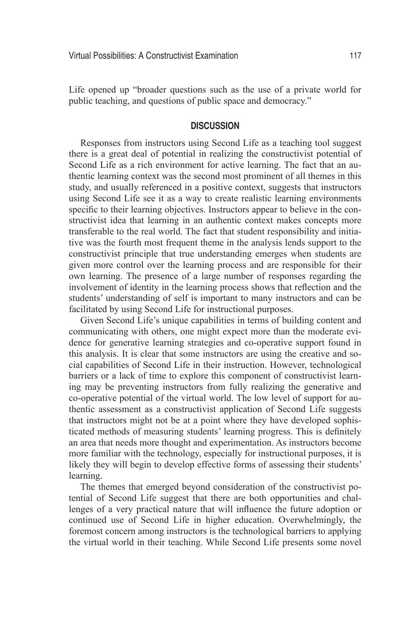Life opened up "broader questions such as the use of a private world for public teaching, and questions of public space and democracy."

## **Discussion**

Responses from instructors using Second Life as a teaching tool suggest there is a great deal of potential in realizing the constructivist potential of Second Life as a rich environment for active learning. The fact that an authentic learning context was the second most prominent of all themes in this study, and usually referenced in a positive context, suggests that instructors using Second Life see it as a way to create realistic learning environments specific to their learning objectives. Instructors appear to believe in the constructivist idea that learning in an authentic context makes concepts more transferable to the real world. The fact that student responsibility and initiative was the fourth most frequent theme in the analysis lends support to the constructivist principle that true understanding emerges when students are given more control over the learning process and are responsible for their own learning. The presence of a large number of responses regarding the involvement of identity in the learning process shows that reflection and the students' understanding of self is important to many instructors and can be facilitated by using Second Life for instructional purposes.

Given Second Life's unique capabilities in terms of building content and communicating with others, one might expect more than the moderate evidence for generative learning strategies and co-operative support found in this analysis. It is clear that some instructors are using the creative and social capabilities of Second Life in their instruction. However, technological barriers or a lack of time to explore this component of constructivist learning may be preventing instructors from fully realizing the generative and co-operative potential of the virtual world. The low level of support for authentic assessment as a constructivist application of Second Life suggests that instructors might not be at a point where they have developed sophisticated methods of measuring students' learning progress. This is definitely an area that needs more thought and experimentation. As instructors become more familiar with the technology, especially for instructional purposes, it is likely they will begin to develop effective forms of assessing their students' learning.

The themes that emerged beyond consideration of the constructivist potential of Second Life suggest that there are both opportunities and challenges of a very practical nature that will influence the future adoption or continued use of Second Life in higher education. Overwhelmingly, the foremost concern among instructors is the technological barriers to applying the virtual world in their teaching. While Second Life presents some novel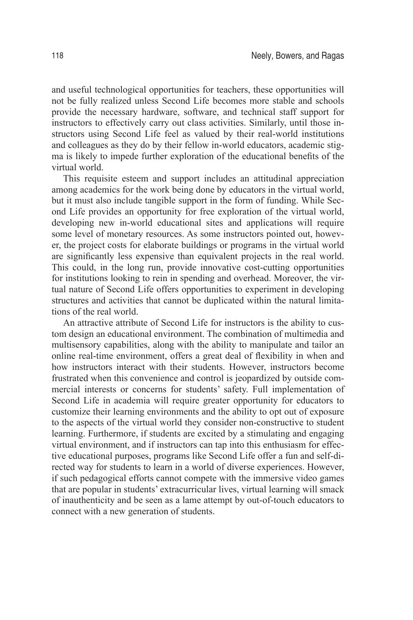and useful technological opportunities for teachers, these opportunities will not be fully realized unless Second Life becomes more stable and schools provide the necessary hardware, software, and technical staff support for instructors to effectively carry out class activities. Similarly, until those instructors using Second Life feel as valued by their real-world institutions and colleagues as they do by their fellow in-world educators, academic stigma is likely to impede further exploration of the educational benefits of the virtual world.

This requisite esteem and support includes an attitudinal appreciation among academics for the work being done by educators in the virtual world, but it must also include tangible support in the form of funding. While Second Life provides an opportunity for free exploration of the virtual world, developing new in-world educational sites and applications will require some level of monetary resources. As some instructors pointed out, however, the project costs for elaborate buildings or programs in the virtual world are significantly less expensive than equivalent projects in the real world. This could, in the long run, provide innovative cost-cutting opportunities for institutions looking to rein in spending and overhead. Moreover, the virtual nature of Second Life offers opportunities to experiment in developing structures and activities that cannot be duplicated within the natural limitations of the real world.

An attractive attribute of Second Life for instructors is the ability to custom design an educational environment. The combination of multimedia and multisensory capabilities, along with the ability to manipulate and tailor an online real-time environment, offers a great deal of flexibility in when and how instructors interact with their students. However, instructors become frustrated when this convenience and control is jeopardized by outside commercial interests or concerns for students' safety. Full implementation of Second Life in academia will require greater opportunity for educators to customize their learning environments and the ability to opt out of exposure to the aspects of the virtual world they consider non-constructive to student learning. Furthermore, if students are excited by a stimulating and engaging virtual environment, and if instructors can tap into this enthusiasm for effective educational purposes, programs like Second Life offer a fun and self-directed way for students to learn in a world of diverse experiences. However, if such pedagogical efforts cannot compete with the immersive video games that are popular in students' extracurricular lives, virtual learning will smack of inauthenticity and be seen as a lame attempt by out-of-touch educators to connect with a new generation of students.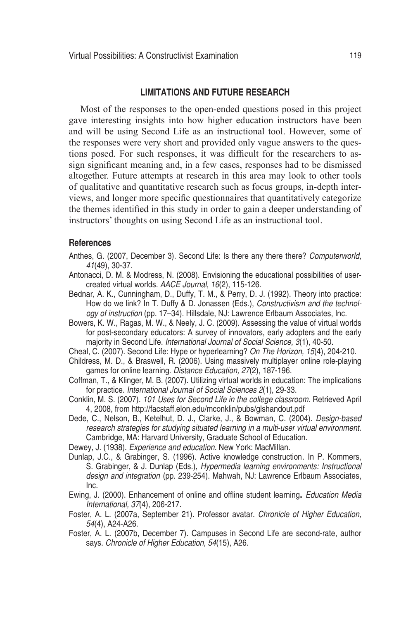## **Limitations and Future Research**

Most of the responses to the open-ended questions posed in this project gave interesting insights into how higher education instructors have been and will be using Second Life as an instructional tool. However, some of the responses were very short and provided only vague answers to the questions posed. For such responses, it was difficult for the researchers to assign significant meaning and, in a few cases, responses had to be dismissed altogether. Future attempts at research in this area may look to other tools of qualitative and quantitative research such as focus groups, in-depth interviews, and longer more specific questionnaires that quantitatively categorize the themes identified in this study in order to gain a deeper understanding of instructors' thoughts on using Second Life as an instructional tool.

## **References**

- Anthes, G. (2007, December 3). Second Life: Is there any there there? *Computerworld, 41*(49), 30-37.
- Antonacci, D. M. & Modress, N. (2008). Envisioning the educational possibilities of usercreated virtual worlds. *AACE Journal, 16*(2), 115-126.
- Bednar, A. K., Cunningham, D., Duffy, T. M., & Perry, D. J. (1992). Theory into practice: How do we link? In T. Duffy & D. Jonassen (Eds.), *Constructivism and the technology of instruction* (pp. 17–34). Hillsdale, NJ: Lawrence Erlbaum Associates, Inc.
- Bowers, K. W., Ragas, M. W., & Neely, J. C. (2009). Assessing the value of virtual worlds for post-secondary educators: A survey of innovators, early adopters and the early majority in Second Life. *International Journal of Social Science, 3*(1), 40-50.
- Cheal, C. (2007). Second Life: Hype or hyperlearning? *On The Horizon, 15*(4), 204-210.
- Childress, M. D., & Braswell, R. (2006). Using massively multiplayer online role-playing games for online learning. *Distance Education, 27*(2), 187-196.
- Coffman, T., & Klinger, M. B. (2007). Utilizing virtual worlds in education: The implications for practice. *International Journal of Social Sciences 2*(1), 29-33.
- Conklin, M. S. (2007). 101 Uses for Second Life in the college classroom. Retrieved April 4, 2008, from http://facstaff.elon.edu/mconklin/pubs/glshandout.pdf
- Dede, C., Nelson, B., Ketelhut, D. J., Clarke, J., & Bowman, C. (2004). *Design-based research strategies for studying situated learning in a multi-user virtual environment.*  Cambridge, MA: Harvard University, Graduate School of Education.
- Dewey, J. (1938). *Experience and education.* New York: MacMillan.
- Dunlap, J.C., & Grabinger, S. (1996). Active knowledge construction*.* In P. Kommers, S. Grabinger, & J. Dunlap (Eds.), *Hypermedia learning environments: Instructional design and integration* (pp. 239-254). Mahwah, NJ: Lawrence Erlbaum Associates, Inc.
- Ewing, J. (2000). Enhancement of online and offline student learning**.** *Education Media International, 37*(4), 206-217.
- Foster, A. L. (2007a, September 21). Professor avatar. *Chronicle of Higher Education, 54*(4), A24-A26.
- Foster, A. L. (2007b, December 7). Campuses in Second Life are second-rate, author says. *Chronicle of Higher Education, 54*(15), A26.